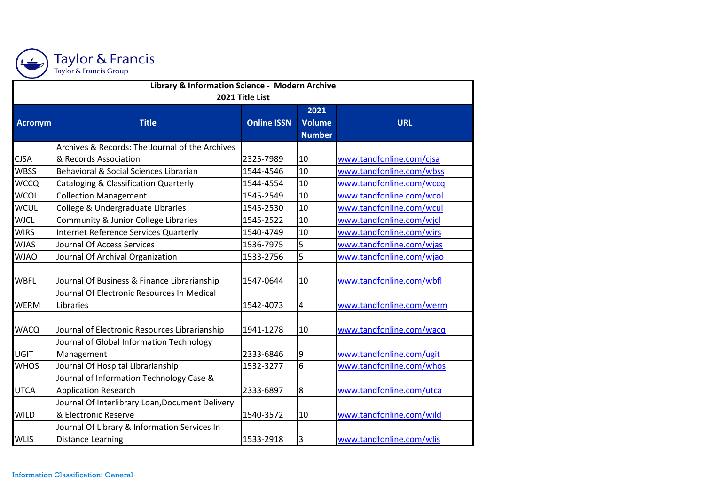

| Library & Information Science - Modern Archive |                                                  |                    |                |                          |  |  |  |  |
|------------------------------------------------|--------------------------------------------------|--------------------|----------------|--------------------------|--|--|--|--|
| 2021 Title List                                |                                                  |                    |                |                          |  |  |  |  |
|                                                |                                                  |                    | 2021           |                          |  |  |  |  |
| <b>Acronym</b>                                 | <b>Title</b>                                     | <b>Online ISSN</b> | <b>Volume</b>  | <b>URL</b>               |  |  |  |  |
|                                                |                                                  |                    | <b>Number</b>  |                          |  |  |  |  |
|                                                | Archives & Records: The Journal of the Archives  |                    |                |                          |  |  |  |  |
| <b>CJSA</b>                                    | & Records Association                            | 2325-7989          | 10             | www.tandfonline.com/cjsa |  |  |  |  |
| <b>WBSS</b>                                    | Behavioral & Social Sciences Librarian           | 1544-4546          | 10             | www.tandfonline.com/wbss |  |  |  |  |
| <b>WCCQ</b>                                    | <b>Cataloging &amp; Classification Quarterly</b> | 1544-4554          | 10             | www.tandfonline.com/wccq |  |  |  |  |
| <b>WCOL</b>                                    | <b>Collection Management</b>                     | 1545-2549          | 10             | www.tandfonline.com/wcol |  |  |  |  |
| <b>WCUL</b>                                    | College & Undergraduate Libraries                | 1545-2530          | 10             | www.tandfonline.com/wcul |  |  |  |  |
| <b>WJCL</b>                                    | Community & Junior College Libraries             | 1545-2522          | 10             | www.tandfonline.com/wjcl |  |  |  |  |
| <b>WIRS</b>                                    | Internet Reference Services Quarterly            | 1540-4749          | 10             | www.tandfonline.com/wirs |  |  |  |  |
| <b>WJAS</b>                                    | Journal Of Access Services                       | 1536-7975          | 5              | www.tandfonline.com/wjas |  |  |  |  |
| <b>WJAO</b>                                    | Journal Of Archival Organization                 | 1533-2756          | 5              | www.tandfonline.com/wjao |  |  |  |  |
|                                                |                                                  |                    |                |                          |  |  |  |  |
| <b>WBFL</b>                                    | Journal Of Business & Finance Librarianship      | 1547-0644          | 10             | www.tandfonline.com/wbfl |  |  |  |  |
|                                                | Journal Of Electronic Resources In Medical       |                    |                |                          |  |  |  |  |
| <b>WERM</b>                                    | Libraries                                        | 1542-4073          | 4              | www.tandfonline.com/werm |  |  |  |  |
|                                                |                                                  |                    |                |                          |  |  |  |  |
| <b>WACQ</b>                                    | Journal of Electronic Resources Librarianship    | 1941-1278          | 10             | www.tandfonline.com/wacq |  |  |  |  |
|                                                | Journal of Global Information Technology         |                    |                |                          |  |  |  |  |
| <b>UGIT</b>                                    | Management                                       | 2333-6846          | 9              | www.tandfonline.com/ugit |  |  |  |  |
| <b>WHOS</b>                                    | Journal Of Hospital Librarianship                | 1532-3277          | 6              | www.tandfonline.com/whos |  |  |  |  |
|                                                | Journal of Information Technology Case &         |                    |                |                          |  |  |  |  |
| <b>UTCA</b>                                    | <b>Application Research</b>                      | 2333-6897          | 8              | www.tandfonline.com/utca |  |  |  |  |
|                                                | Journal Of Interlibrary Loan, Document Delivery  |                    |                |                          |  |  |  |  |
| <b>WILD</b>                                    | & Electronic Reserve                             | 1540-3572          | 10             | www.tandfonline.com/wild |  |  |  |  |
|                                                | Journal Of Library & Information Services In     |                    |                |                          |  |  |  |  |
| <b>WLIS</b>                                    | <b>Distance Learning</b>                         | 1533-2918          | $\overline{3}$ | www.tandfonline.com/wlis |  |  |  |  |